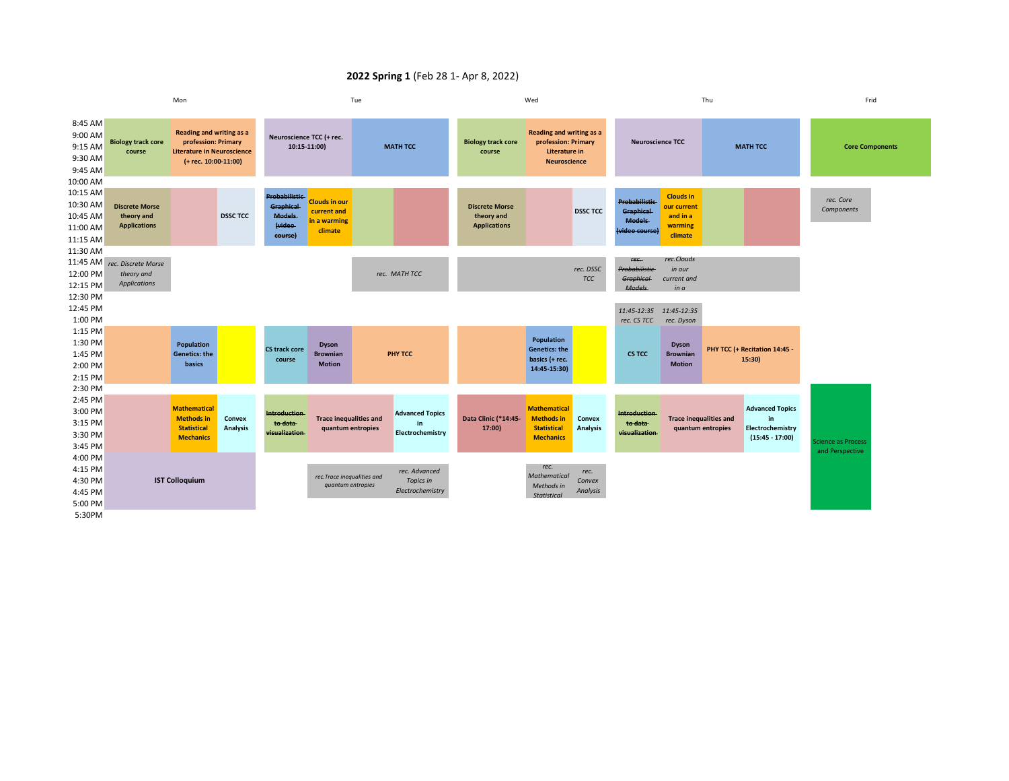## **2022 Spring 1** (Feb 28 1- Apr 8, 2022)